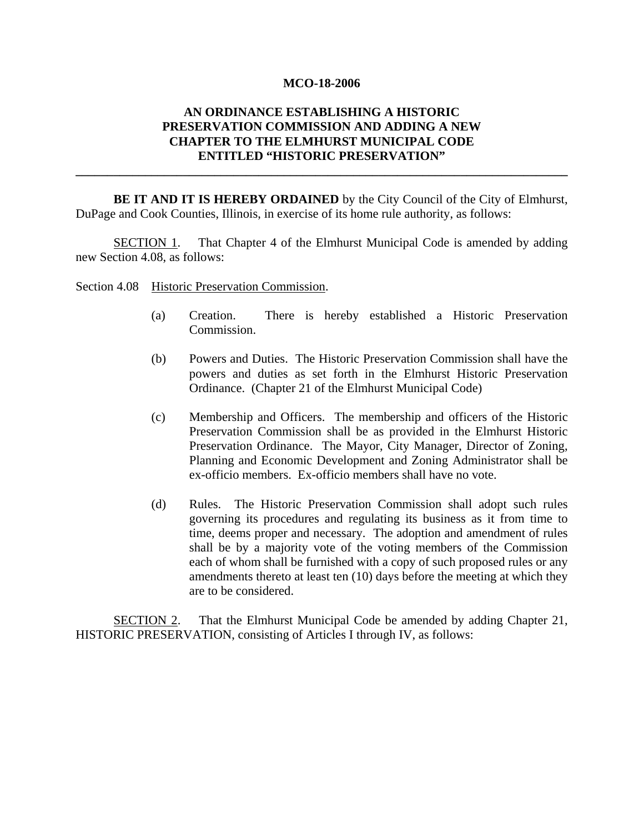#### **MCO-18-2006**

# **AN ORDINANCE ESTABLISHING A HISTORIC PRESERVATION COMMISSION AND ADDING A NEW CHAPTER TO THE ELMHURST MUNICIPAL CODE ENTITLED "HISTORIC PRESERVATION"**

**\_\_\_\_\_\_\_\_\_\_\_\_\_\_\_\_\_\_\_\_\_\_\_\_\_\_\_\_\_\_\_\_\_\_\_\_\_\_\_\_\_\_\_\_\_\_\_\_\_\_\_\_\_\_\_\_\_\_\_\_\_\_\_\_\_\_\_\_\_\_\_\_\_\_\_\_\_\_** 

**BE IT AND IT IS HEREBY ORDAINED** by the City Council of the City of Elmhurst, DuPage and Cook Counties, Illinois, in exercise of its home rule authority, as follows:

SECTION 1. That Chapter 4 of the Elmhurst Municipal Code is amended by adding new Section 4.08, as follows:

Section 4.08 Historic Preservation Commission.

- (a) Creation. There is hereby established a Historic Preservation Commission.
- (b) Powers and Duties. The Historic Preservation Commission shall have the powers and duties as set forth in the Elmhurst Historic Preservation Ordinance. (Chapter 21 of the Elmhurst Municipal Code)
- (c) Membership and Officers. The membership and officers of the Historic Preservation Commission shall be as provided in the Elmhurst Historic Preservation Ordinance. The Mayor, City Manager, Director of Zoning, Planning and Economic Development and Zoning Administrator shall be ex-officio members. Ex-officio members shall have no vote.
- (d) Rules. The Historic Preservation Commission shall adopt such rules governing its procedures and regulating its business as it from time to time, deems proper and necessary. The adoption and amendment of rules shall be by a majority vote of the voting members of the Commission each of whom shall be furnished with a copy of such proposed rules or any amendments thereto at least ten (10) days before the meeting at which they are to be considered.

SECTION 2. That the Elmhurst Municipal Code be amended by adding Chapter 21, HISTORIC PRESERVATION, consisting of Articles I through IV, as follows: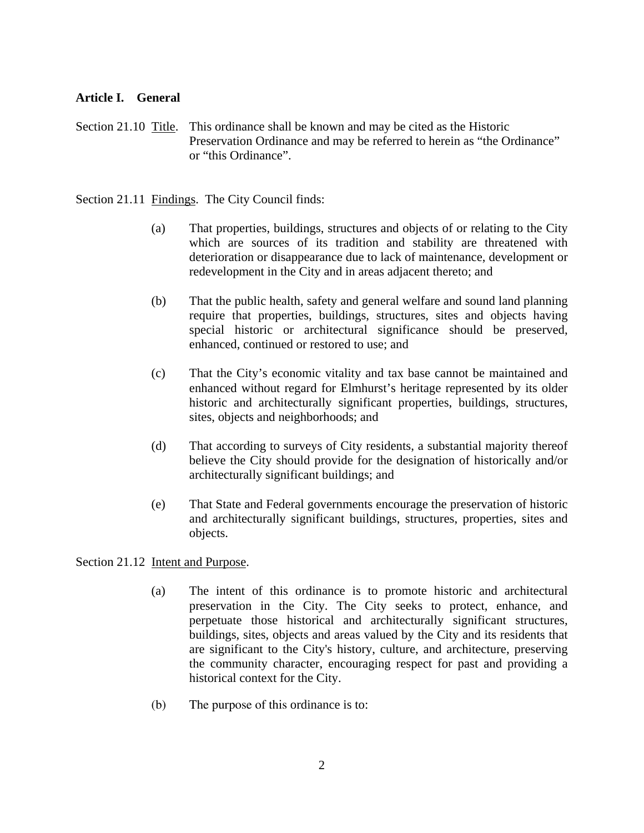## **Article I. General**

Section 21.10 Title. This ordinance shall be known and may be cited as the Historic Preservation Ordinance and may be referred to herein as "the Ordinance" or "this Ordinance".

Section 21.11 Findings. The City Council finds:

- (a) That properties, buildings, structures and objects of or relating to the City which are sources of its tradition and stability are threatened with deterioration or disappearance due to lack of maintenance, development or redevelopment in the City and in areas adjacent thereto; and
- (b) That the public health, safety and general welfare and sound land planning require that properties, buildings, structures, sites and objects having special historic or architectural significance should be preserved, enhanced, continued or restored to use; and
- (c) That the City's economic vitality and tax base cannot be maintained and enhanced without regard for Elmhurst's heritage represented by its older historic and architecturally significant properties, buildings, structures, sites, objects and neighborhoods; and
- (d) That according to surveys of City residents, a substantial majority thereof believe the City should provide for the designation of historically and/or architecturally significant buildings; and
- (e) That State and Federal governments encourage the preservation of historic and architecturally significant buildings, structures, properties, sites and objects.

Section 21.12 Intent and Purpose.

- (a) The intent of this ordinance is to promote historic and architectural preservation in the City. The City seeks to protect, enhance, and perpetuate those historical and architecturally significant structures, buildings, sites, objects and areas valued by the City and its residents that are significant to the City's history, culture, and architecture, preserving the community character, encouraging respect for past and providing a historical context for the City.
- (b) The purpose of this ordinance is to: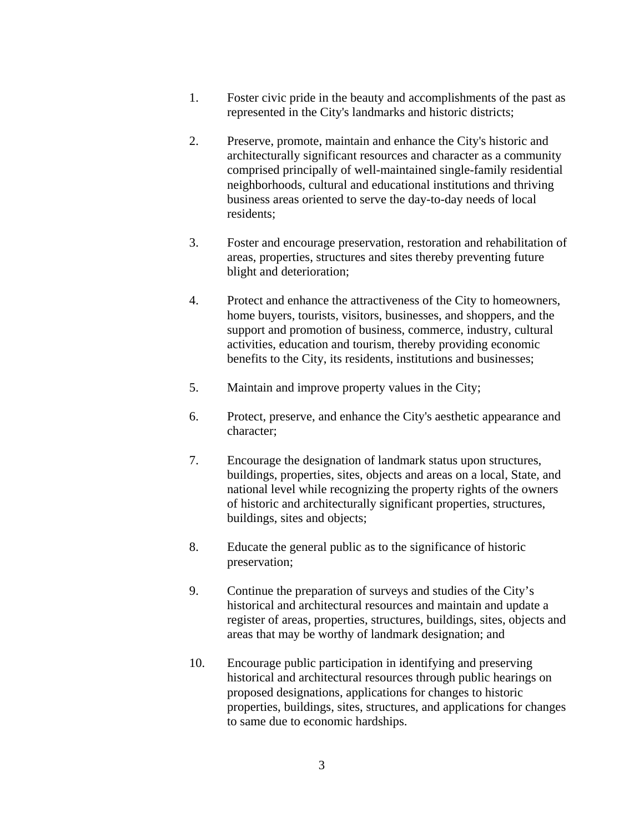- 1. Foster civic pride in the beauty and accomplishments of the past as represented in the City's landmarks and historic districts;
- 2. Preserve, promote, maintain and enhance the City's historic and architecturally significant resources and character as a community comprised principally of well-maintained single-family residential neighborhoods, cultural and educational institutions and thriving business areas oriented to serve the day-to-day needs of local residents;
- 3. Foster and encourage preservation, restoration and rehabilitation of areas, properties, structures and sites thereby preventing future blight and deterioration;
- 4. Protect and enhance the attractiveness of the City to homeowners, home buyers, tourists, visitors, businesses, and shoppers, and the support and promotion of business, commerce, industry, cultural activities, education and tourism, thereby providing economic benefits to the City, its residents, institutions and businesses;
- 5. Maintain and improve property values in the City;
- 6. Protect, preserve, and enhance the City's aesthetic appearance and character;
- 7. Encourage the designation of landmark status upon structures, buildings, properties, sites, objects and areas on a local, State, and national level while recognizing the property rights of the owners of historic and architecturally significant properties, structures, buildings, sites and objects;
- 8. Educate the general public as to the significance of historic preservation;
- 9. Continue the preparation of surveys and studies of the City's historical and architectural resources and maintain and update a register of areas, properties, structures, buildings, sites, objects and areas that may be worthy of landmark designation; and
- 10. Encourage public participation in identifying and preserving historical and architectural resources through public hearings on proposed designations, applications for changes to historic properties, buildings, sites, structures, and applications for changes to same due to economic hardships.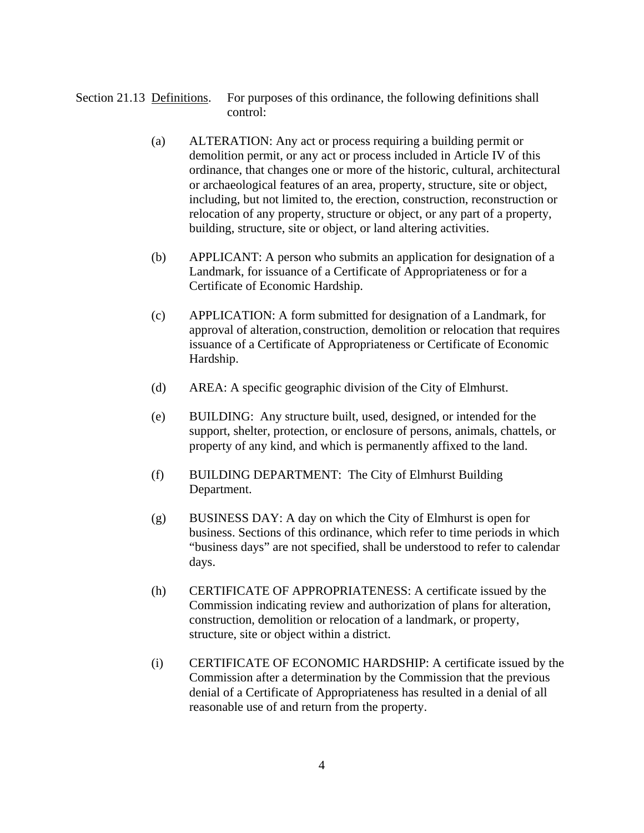Section 21.13 Definitions. For purposes of this ordinance, the following definitions shall control:

- (a) ALTERATION: Any act or process requiring a building permit or demolition permit, or any act or process included in Article IV of this ordinance, that changes one or more of the historic, cultural, architectural or archaeological features of an area, property, structure, site or object, including, but not limited to, the erection, construction, reconstruction or relocation of any property, structure or object, or any part of a property, building, structure, site or object, or land altering activities.
- (b) APPLICANT: A person who submits an application for designation of a Landmark, for issuance of a Certificate of Appropriateness or for a Certificate of Economic Hardship.
- (c) APPLICATION: A form submitted for designation of a Landmark, for approval of alteration, construction, demolition or relocation that requires issuance of a Certificate of Appropriateness or Certificate of Economic Hardship.
- (d) AREA: A specific geographic division of the City of Elmhurst.
- (e) BUILDING: Any structure built, used, designed, or intended for the support, shelter, protection, or enclosure of persons, animals, chattels, or property of any kind, and which is permanently affixed to the land.
- (f) BUILDING DEPARTMENT: The City of Elmhurst Building Department.
- (g) BUSINESS DAY: A day on which the City of Elmhurst is open for business. Sections of this ordinance, which refer to time periods in which "business days" are not specified, shall be understood to refer to calendar days.
- (h) CERTIFICATE OF APPROPRIATENESS: A certificate issued by the Commission indicating review and authorization of plans for alteration, construction, demolition or relocation of a landmark, or property, structure, site or object within a district.
- (i) CERTIFICATE OF ECONOMIC HARDSHIP: A certificate issued by the Commission after a determination by the Commission that the previous denial of a Certificate of Appropriateness has resulted in a denial of all reasonable use of and return from the property.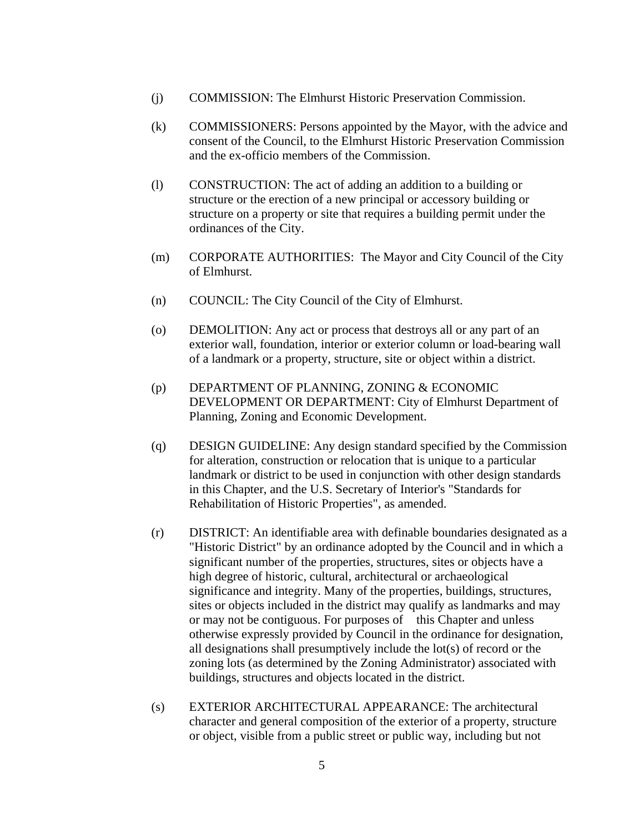- (j) COMMISSION: The Elmhurst Historic Preservation Commission.
- (k) COMMISSIONERS: Persons appointed by the Mayor, with the advice and consent of the Council, to the Elmhurst Historic Preservation Commission and the ex-officio members of the Commission.
- (l) CONSTRUCTION: The act of adding an addition to a building or structure or the erection of a new principal or accessory building or structure on a property or site that requires a building permit under the ordinances of the City.
- (m) CORPORATE AUTHORITIES: The Mayor and City Council of the City of Elmhurst.
- (n) COUNCIL: The City Council of the City of Elmhurst.
- (o) DEMOLITION: Any act or process that destroys all or any part of an exterior wall, foundation, interior or exterior column or load-bearing wall of a landmark or a property, structure, site or object within a district.
- (p) DEPARTMENT OF PLANNING, ZONING & ECONOMIC DEVELOPMENT OR DEPARTMENT: City of Elmhurst Department of Planning, Zoning and Economic Development.
- (q) DESIGN GUIDELINE: Any design standard specified by the Commission for alteration, construction or relocation that is unique to a particular landmark or district to be used in conjunction with other design standards in this Chapter, and the U.S. Secretary of Interior's "Standards for Rehabilitation of Historic Properties", as amended.
- (r) DISTRICT: An identifiable area with definable boundaries designated as a "Historic District" by an ordinance adopted by the Council and in which a significant number of the properties, structures, sites or objects have a high degree of historic, cultural, architectural or archaeological significance and integrity. Many of the properties, buildings, structures, sites or objects included in the district may qualify as landmarks and may or may not be contiguous. For purposes of this Chapter and unless otherwise expressly provided by Council in the ordinance for designation, all designations shall presumptively include the lot(s) of record or the zoning lots (as determined by the Zoning Administrator) associated with buildings, structures and objects located in the district.
- (s) EXTERIOR ARCHITECTURAL APPEARANCE: The architectural character and general composition of the exterior of a property, structure or object, visible from a public street or public way, including but not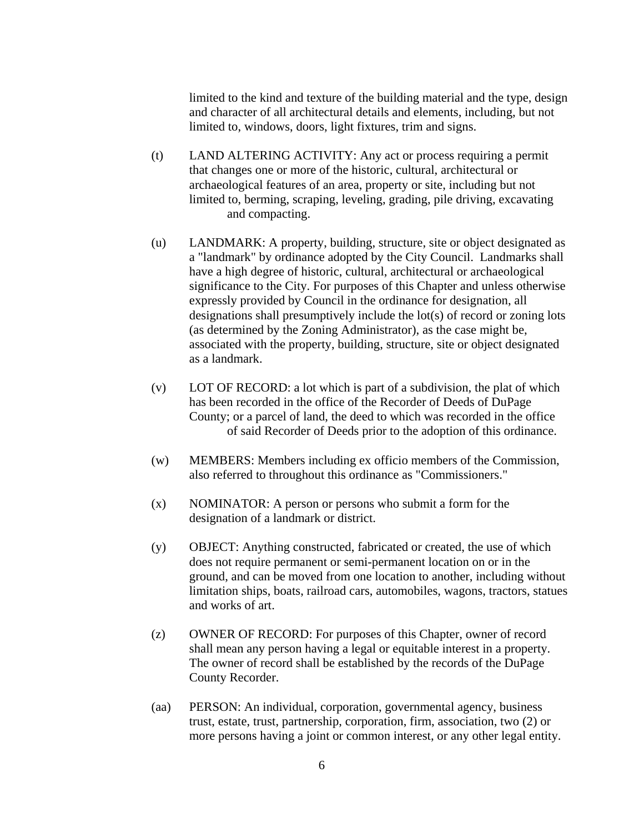limited to the kind and texture of the building material and the type, design and character of all architectural details and elements, including, but not limited to, windows, doors, light fixtures, trim and signs.

- (t) LAND ALTERING ACTIVITY: Any act or process requiring a permit that changes one or more of the historic, cultural, architectural or archaeological features of an area, property or site, including but not limited to, berming, scraping, leveling, grading, pile driving, excavating and compacting.
- (u) LANDMARK: A property, building, structure, site or object designated as a "landmark" by ordinance adopted by the City Council. Landmarks shall have a high degree of historic, cultural, architectural or archaeological significance to the City. For purposes of this Chapter and unless otherwise expressly provided by Council in the ordinance for designation, all designations shall presumptively include the lot(s) of record or zoning lots (as determined by the Zoning Administrator), as the case might be, associated with the property, building, structure, site or object designated as a landmark.
- (v) LOT OF RECORD: a lot which is part of a subdivision, the plat of which has been recorded in the office of the Recorder of Deeds of DuPage County; or a parcel of land, the deed to which was recorded in the office of said Recorder of Deeds prior to the adoption of this ordinance.
- (w) MEMBERS: Members including ex officio members of the Commission, also referred to throughout this ordinance as "Commissioners."
- (x) NOMINATOR: A person or persons who submit a form for the designation of a landmark or district.
- (y) OBJECT: Anything constructed, fabricated or created, the use of which does not require permanent or semi-permanent location on or in the ground, and can be moved from one location to another, including without limitation ships, boats, railroad cars, automobiles, wagons, tractors, statues and works of art.
- (z) OWNER OF RECORD: For purposes of this Chapter, owner of record shall mean any person having a legal or equitable interest in a property. The owner of record shall be established by the records of the DuPage County Recorder.
- (aa) PERSON: An individual, corporation, governmental agency, business trust, estate, trust, partnership, corporation, firm, association, two (2) or more persons having a joint or common interest, or any other legal entity.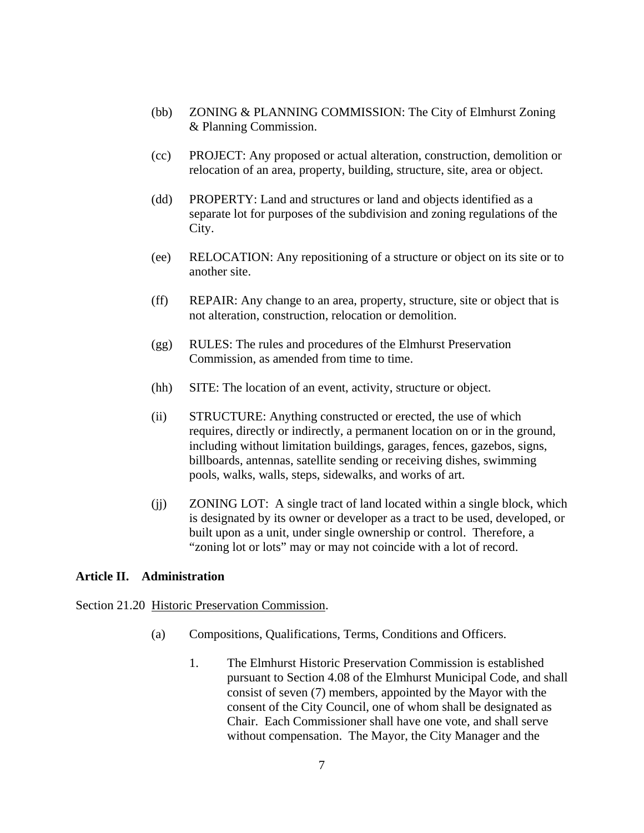- (bb) ZONING & PLANNING COMMISSION: The City of Elmhurst Zoning & Planning Commission.
- (cc) PROJECT: Any proposed or actual alteration, construction, demolition or relocation of an area, property, building, structure, site, area or object.
- (dd) PROPERTY: Land and structures or land and objects identified as a separate lot for purposes of the subdivision and zoning regulations of the City.
- (ee) RELOCATION: Any repositioning of a structure or object on its site or to another site.
- (ff) REPAIR: Any change to an area, property, structure, site or object that is not alteration, construction, relocation or demolition.
- (gg) RULES: The rules and procedures of the Elmhurst Preservation Commission, as amended from time to time.
- (hh) SITE: The location of an event, activity, structure or object.
- (ii) STRUCTURE: Anything constructed or erected, the use of which requires, directly or indirectly, a permanent location on or in the ground, including without limitation buildings, garages, fences, gazebos, signs, billboards, antennas, satellite sending or receiving dishes, swimming pools, walks, walls, steps, sidewalks, and works of art.
- (jj) ZONING LOT: A single tract of land located within a single block, which is designated by its owner or developer as a tract to be used, developed, or built upon as a unit, under single ownership or control. Therefore, a "zoning lot or lots" may or may not coincide with a lot of record.

#### **Article II. Administration**

Section 21.20 Historic Preservation Commission.

- (a) Compositions, Qualifications, Terms, Conditions and Officers.
	- 1. The Elmhurst Historic Preservation Commission is established pursuant to Section 4.08 of the Elmhurst Municipal Code, and shall consist of seven (7) members, appointed by the Mayor with the consent of the City Council, one of whom shall be designated as Chair. Each Commissioner shall have one vote, and shall serve without compensation. The Mayor, the City Manager and the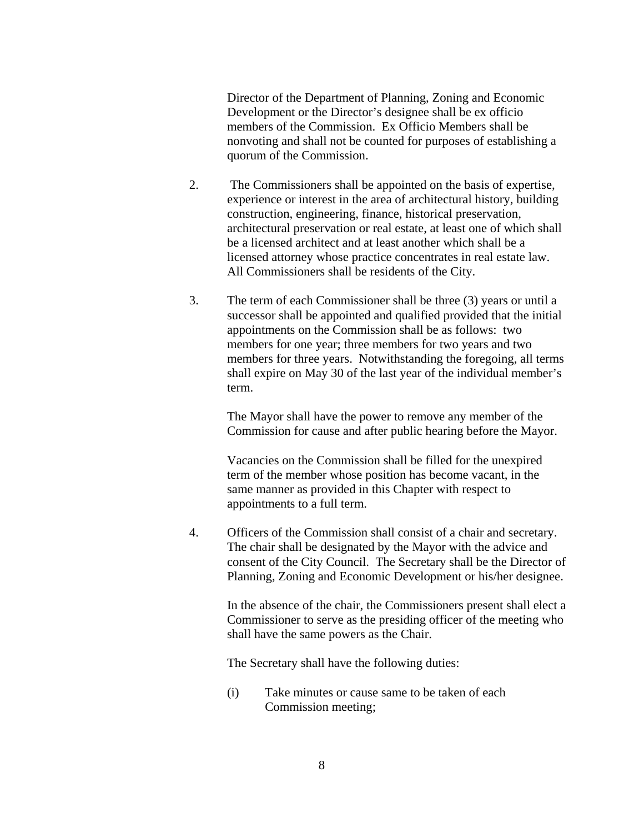Director of the Department of Planning, Zoning and Economic Development or the Director's designee shall be ex officio members of the Commission. Ex Officio Members shall be nonvoting and shall not be counted for purposes of establishing a quorum of the Commission.

- 2. The Commissioners shall be appointed on the basis of expertise, experience or interest in the area of architectural history, building construction, engineering, finance, historical preservation, architectural preservation or real estate, at least one of which shall be a licensed architect and at least another which shall be a licensed attorney whose practice concentrates in real estate law. All Commissioners shall be residents of the City.
- 3. The term of each Commissioner shall be three (3) years or until a successor shall be appointed and qualified provided that the initial appointments on the Commission shall be as follows: two members for one year; three members for two years and two members for three years. Notwithstanding the foregoing, all terms shall expire on May 30 of the last year of the individual member's term.

The Mayor shall have the power to remove any member of the Commission for cause and after public hearing before the Mayor.

Vacancies on the Commission shall be filled for the unexpired term of the member whose position has become vacant, in the same manner as provided in this Chapter with respect to appointments to a full term.

4. Officers of the Commission shall consist of a chair and secretary. The chair shall be designated by the Mayor with the advice and consent of the City Council. The Secretary shall be the Director of Planning, Zoning and Economic Development or his/her designee.

In the absence of the chair, the Commissioners present shall elect a Commissioner to serve as the presiding officer of the meeting who shall have the same powers as the Chair.

The Secretary shall have the following duties:

(i) Take minutes or cause same to be taken of each Commission meeting;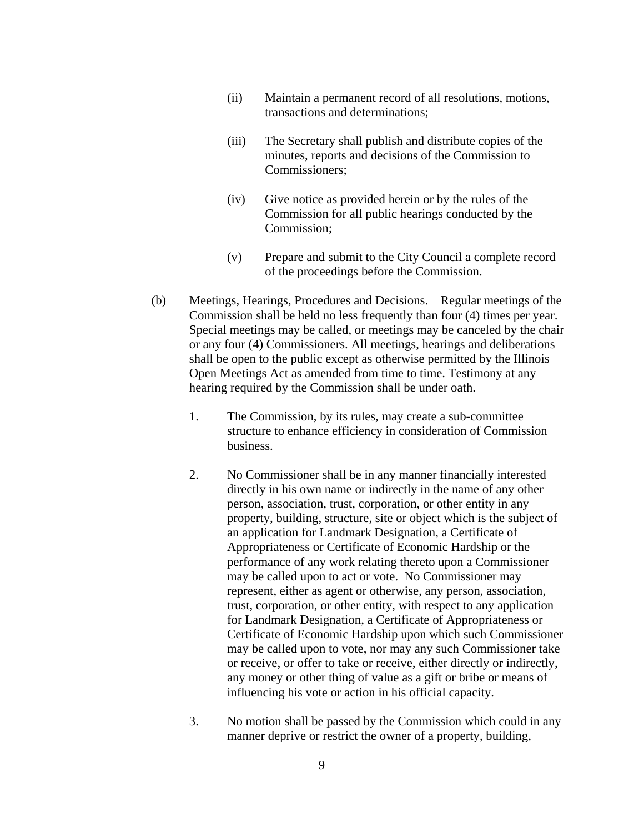- (ii) Maintain a permanent record of all resolutions, motions, transactions and determinations;
- (iii) The Secretary shall publish and distribute copies of the minutes, reports and decisions of the Commission to Commissioners;
- (iv) Give notice as provided herein or by the rules of the Commission for all public hearings conducted by the Commission;
- (v) Prepare and submit to the City Council a complete record of the proceedings before the Commission.
- (b) Meetings, Hearings, Procedures and Decisions. Regular meetings of the Commission shall be held no less frequently than four (4) times per year. Special meetings may be called, or meetings may be canceled by the chair or any four (4) Commissioners. All meetings, hearings and deliberations shall be open to the public except as otherwise permitted by the Illinois Open Meetings Act as amended from time to time. Testimony at any hearing required by the Commission shall be under oath.
	- 1. The Commission, by its rules, may create a sub-committee structure to enhance efficiency in consideration of Commission business.
	- 2. No Commissioner shall be in any manner financially interested directly in his own name or indirectly in the name of any other person, association, trust, corporation, or other entity in any property, building, structure, site or object which is the subject of an application for Landmark Designation, a Certificate of Appropriateness or Certificate of Economic Hardship or the performance of any work relating thereto upon a Commissioner may be called upon to act or vote. No Commissioner may represent, either as agent or otherwise, any person, association, trust, corporation, or other entity, with respect to any application for Landmark Designation, a Certificate of Appropriateness or Certificate of Economic Hardship upon which such Commissioner may be called upon to vote, nor may any such Commissioner take or receive, or offer to take or receive, either directly or indirectly, any money or other thing of value as a gift or bribe or means of influencing his vote or action in his official capacity.
	- 3. No motion shall be passed by the Commission which could in any manner deprive or restrict the owner of a property, building,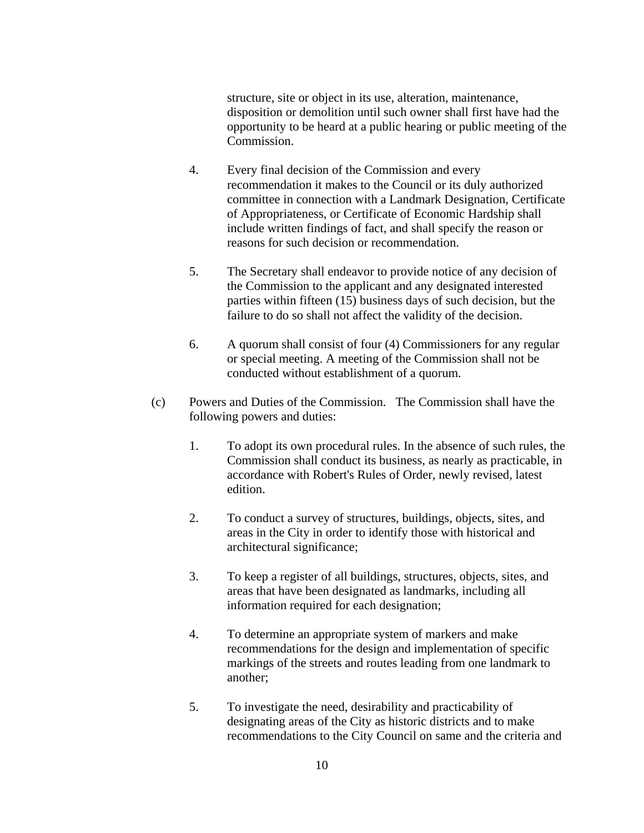structure, site or object in its use, alteration, maintenance, disposition or demolition until such owner shall first have had the opportunity to be heard at a public hearing or public meeting of the Commission.

- 4. Every final decision of the Commission and every recommendation it makes to the Council or its duly authorized committee in connection with a Landmark Designation, Certificate of Appropriateness, or Certificate of Economic Hardship shall include written findings of fact, and shall specify the reason or reasons for such decision or recommendation.
- 5. The Secretary shall endeavor to provide notice of any decision of the Commission to the applicant and any designated interested parties within fifteen (15) business days of such decision, but the failure to do so shall not affect the validity of the decision.
- 6. A quorum shall consist of four (4) Commissioners for any regular or special meeting. A meeting of the Commission shall not be conducted without establishment of a quorum.
- (c) Powers and Duties of the Commission. The Commission shall have the following powers and duties:
	- 1. To adopt its own procedural rules. In the absence of such rules, the Commission shall conduct its business, as nearly as practicable, in accordance with Robert's Rules of Order, newly revised, latest edition.
	- 2. To conduct a survey of structures, buildings, objects, sites, and areas in the City in order to identify those with historical and architectural significance;
	- 3. To keep a register of all buildings, structures, objects, sites, and areas that have been designated as landmarks, including all information required for each designation;
	- 4. To determine an appropriate system of markers and make recommendations for the design and implementation of specific markings of the streets and routes leading from one landmark to another;
	- 5. To investigate the need, desirability and practicability of designating areas of the City as historic districts and to make recommendations to the City Council on same and the criteria and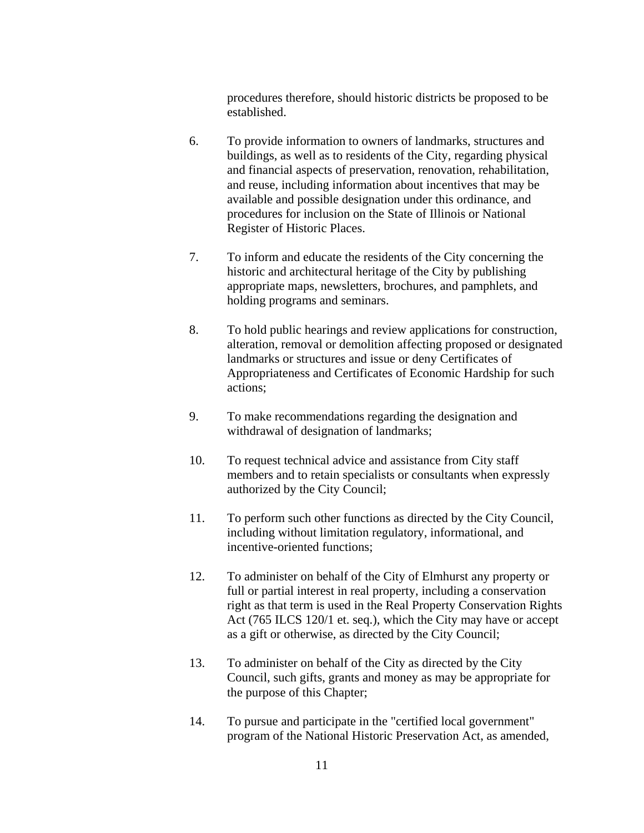procedures therefore, should historic districts be proposed to be established.

- 6. To provide information to owners of landmarks, structures and buildings, as well as to residents of the City, regarding physical and financial aspects of preservation, renovation, rehabilitation, and reuse, including information about incentives that may be available and possible designation under this ordinance, and procedures for inclusion on the State of Illinois or National Register of Historic Places.
- 7. To inform and educate the residents of the City concerning the historic and architectural heritage of the City by publishing appropriate maps, newsletters, brochures, and pamphlets, and holding programs and seminars.
- 8. To hold public hearings and review applications for construction, alteration, removal or demolition affecting proposed or designated landmarks or structures and issue or deny Certificates of Appropriateness and Certificates of Economic Hardship for such actions;
- 9. To make recommendations regarding the designation and withdrawal of designation of landmarks;
- 10. To request technical advice and assistance from City staff members and to retain specialists or consultants when expressly authorized by the City Council;
- 11. To perform such other functions as directed by the City Council, including without limitation regulatory, informational, and incentive-oriented functions;
- 12. To administer on behalf of the City of Elmhurst any property or full or partial interest in real property, including a conservation right as that term is used in the Real Property Conservation Rights Act (765 ILCS 120/1 et. seq.), which the City may have or accept as a gift or otherwise, as directed by the City Council;
- 13. To administer on behalf of the City as directed by the City Council, such gifts, grants and money as may be appropriate for the purpose of this Chapter;
- 14. To pursue and participate in the "certified local government" program of the National Historic Preservation Act, as amended,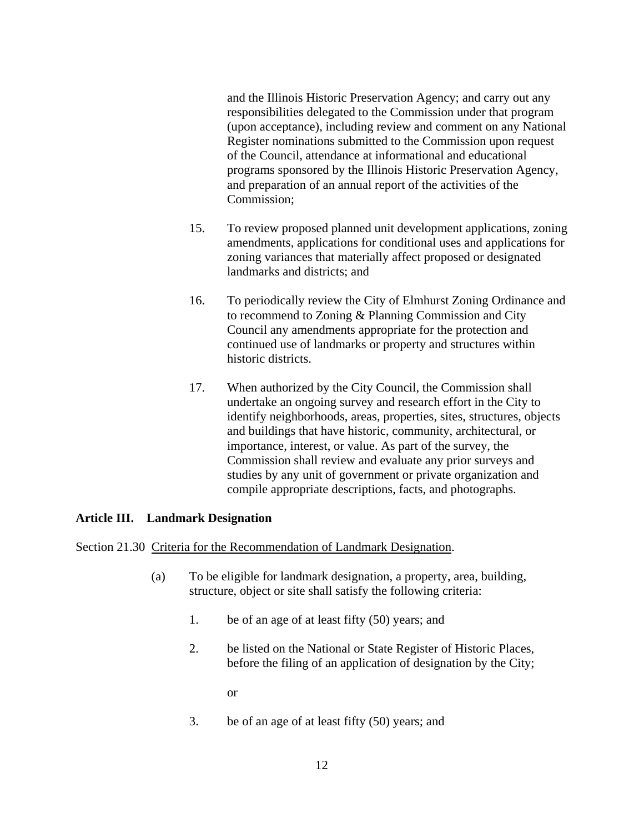and the Illinois Historic Preservation Agency; and carry out any responsibilities delegated to the Commission under that program (upon acceptance), including review and comment on any National Register nominations submitted to the Commission upon request of the Council, attendance at informational and educational programs sponsored by the Illinois Historic Preservation Agency, and preparation of an annual report of the activities of the Commission;

- 15. To review proposed planned unit development applications, zoning amendments, applications for conditional uses and applications for zoning variances that materially affect proposed or designated landmarks and districts; and
- 16. To periodically review the City of Elmhurst Zoning Ordinance and to recommend to Zoning & Planning Commission and City Council any amendments appropriate for the protection and continued use of landmarks or property and structures within historic districts.
- 17. When authorized by the City Council, the Commission shall undertake an ongoing survey and research effort in the City to identify neighborhoods, areas, properties, sites, structures, objects and buildings that have historic, community, architectural, or importance, interest, or value. As part of the survey, the Commission shall review and evaluate any prior surveys and studies by any unit of government or private organization and compile appropriate descriptions, facts, and photographs.

## **Article III. Landmark Designation**

Section 21.30 Criteria for the Recommendation of Landmark Designation.

- (a) To be eligible for landmark designation, a property, area, building, structure, object or site shall satisfy the following criteria:
	- 1. be of an age of at least fifty (50) years; and
	- 2. be listed on the National or State Register of Historic Places, before the filing of an application of designation by the City;

or

3. be of an age of at least fifty (50) years; and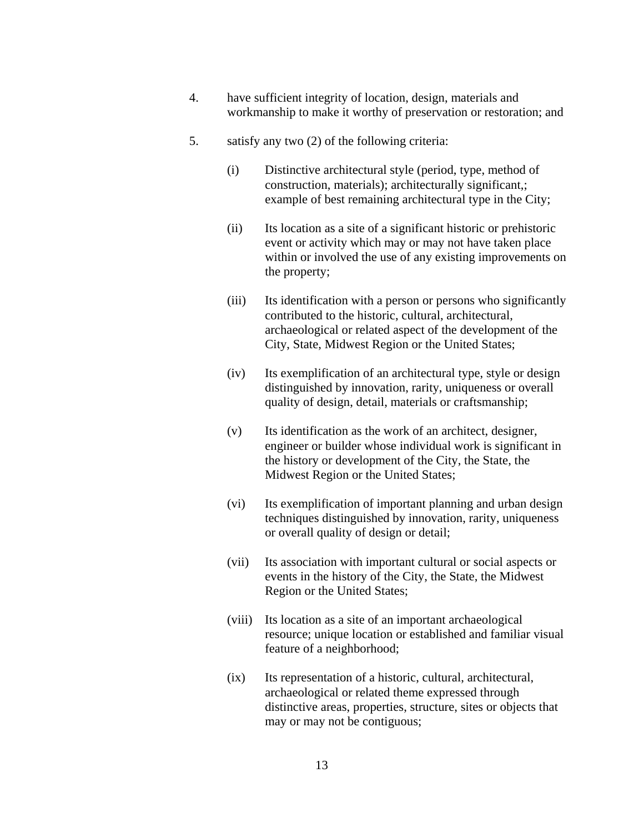- 4. have sufficient integrity of location, design, materials and workmanship to make it worthy of preservation or restoration; and
- 5. satisfy any two (2) of the following criteria:
	- (i) Distinctive architectural style (period, type, method of construction, materials); architecturally significant,; example of best remaining architectural type in the City;
	- (ii) Its location as a site of a significant historic or prehistoric event or activity which may or may not have taken place within or involved the use of any existing improvements on the property;
	- (iii) Its identification with a person or persons who significantly contributed to the historic, cultural, architectural, archaeological or related aspect of the development of the City, State, Midwest Region or the United States;
	- (iv) Its exemplification of an architectural type, style or design distinguished by innovation, rarity, uniqueness or overall quality of design, detail, materials or craftsmanship;
	- (v) Its identification as the work of an architect, designer, engineer or builder whose individual work is significant in the history or development of the City, the State, the Midwest Region or the United States;
	- (vi) Its exemplification of important planning and urban design techniques distinguished by innovation, rarity, uniqueness or overall quality of design or detail;
	- (vii) Its association with important cultural or social aspects or events in the history of the City, the State, the Midwest Region or the United States;
	- (viii) Its location as a site of an important archaeological resource; unique location or established and familiar visual feature of a neighborhood;
	- (ix) Its representation of a historic, cultural, architectural, archaeological or related theme expressed through distinctive areas, properties, structure, sites or objects that may or may not be contiguous;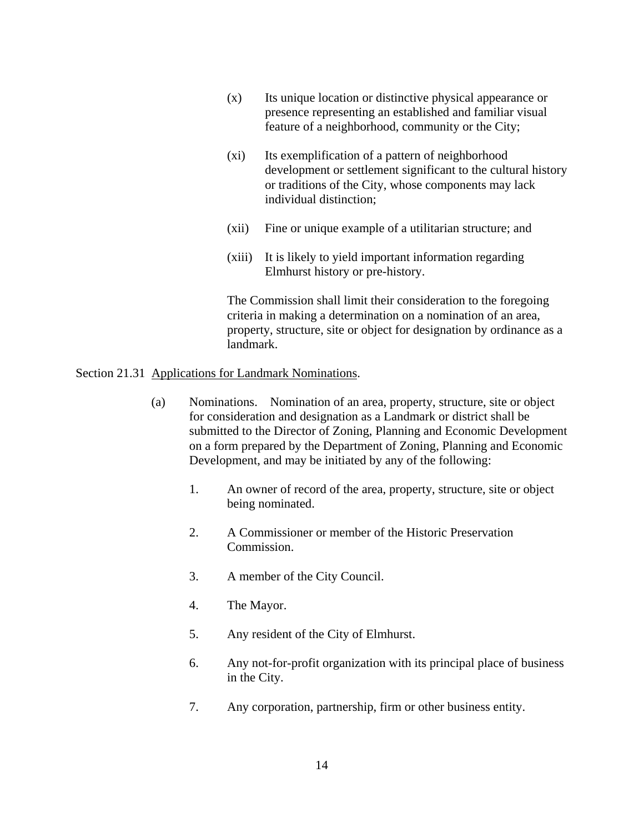- (x) Its unique location or distinctive physical appearance or presence representing an established and familiar visual feature of a neighborhood, community or the City;
- (xi) Its exemplification of a pattern of neighborhood development or settlement significant to the cultural history or traditions of the City, whose components may lack individual distinction;
- (xii) Fine or unique example of a utilitarian structure; and
- (xiii) It is likely to yield important information regarding Elmhurst history or pre-history.

The Commission shall limit their consideration to the foregoing criteria in making a determination on a nomination of an area, property, structure, site or object for designation by ordinance as a landmark.

### Section 21.31 Applications for Landmark Nominations.

- (a) Nominations. Nomination of an area, property, structure, site or object for consideration and designation as a Landmark or district shall be submitted to the Director of Zoning, Planning and Economic Development on a form prepared by the Department of Zoning, Planning and Economic Development, and may be initiated by any of the following:
	- 1. An owner of record of the area, property, structure, site or object being nominated.
	- 2. A Commissioner or member of the Historic Preservation Commission.
	- 3. A member of the City Council.
	- 4. The Mayor.
	- 5. Any resident of the City of Elmhurst.
	- 6. Any not-for-profit organization with its principal place of business in the City.
	- 7. Any corporation, partnership, firm or other business entity.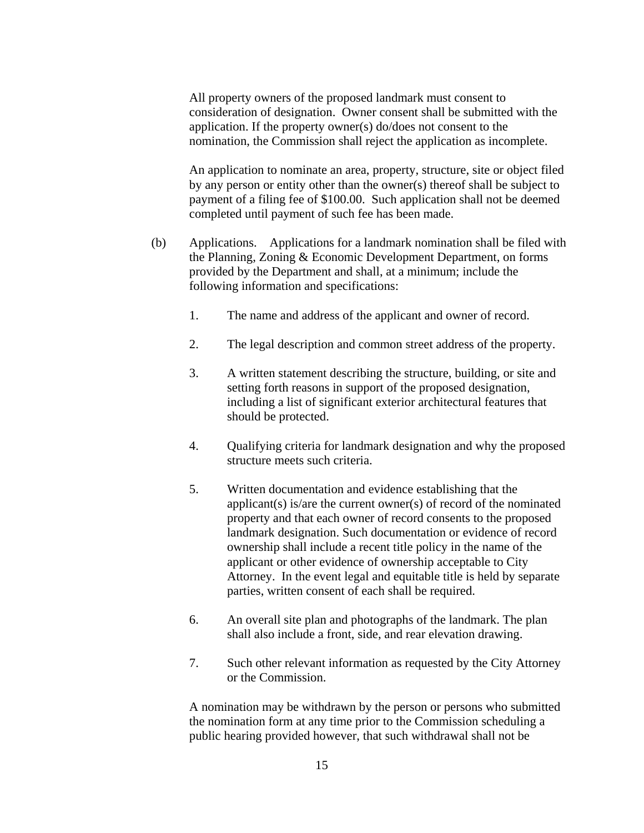All property owners of the proposed landmark must consent to consideration of designation. Owner consent shall be submitted with the application. If the property owner(s) do/does not consent to the nomination, the Commission shall reject the application as incomplete.

An application to nominate an area, property, structure, site or object filed by any person or entity other than the owner(s) thereof shall be subject to payment of a filing fee of \$100.00. Such application shall not be deemed completed until payment of such fee has been made.

- (b) Applications. Applications for a landmark nomination shall be filed with the Planning, Zoning & Economic Development Department, on forms provided by the Department and shall, at a minimum; include the following information and specifications:
	- 1. The name and address of the applicant and owner of record.
	- 2. The legal description and common street address of the property.
	- 3. A written statement describing the structure, building, or site and setting forth reasons in support of the proposed designation, including a list of significant exterior architectural features that should be protected.
	- 4. Qualifying criteria for landmark designation and why the proposed structure meets such criteria.
	- 5. Written documentation and evidence establishing that the applicant(s) is/are the current owner(s) of record of the nominated property and that each owner of record consents to the proposed landmark designation. Such documentation or evidence of record ownership shall include a recent title policy in the name of the applicant or other evidence of ownership acceptable to City Attorney. In the event legal and equitable title is held by separate parties, written consent of each shall be required.
	- 6. An overall site plan and photographs of the landmark. The plan shall also include a front, side, and rear elevation drawing.
	- 7. Such other relevant information as requested by the City Attorney or the Commission.

A nomination may be withdrawn by the person or persons who submitted the nomination form at any time prior to the Commission scheduling a public hearing provided however, that such withdrawal shall not be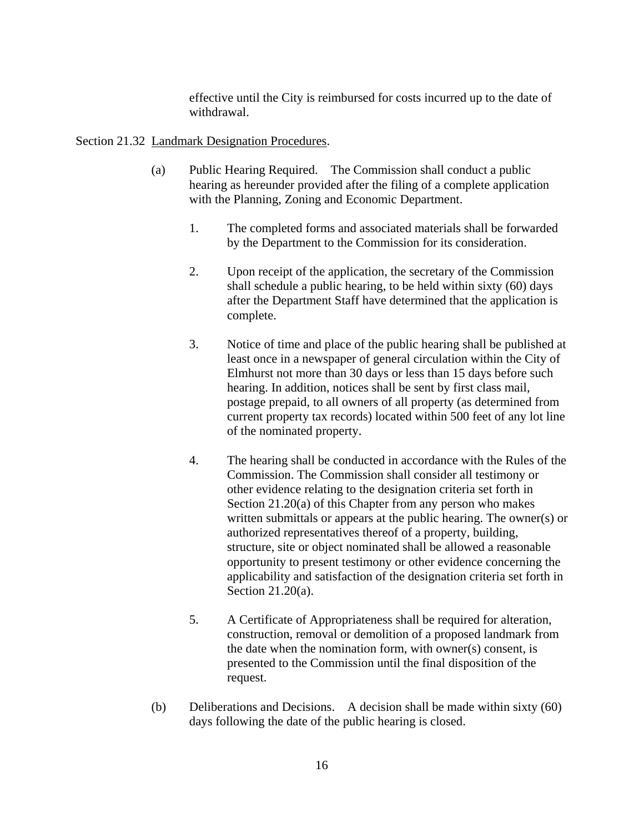effective until the City is reimbursed for costs incurred up to the date of withdrawal.

## Section 21.32 Landmark Designation Procedures.

- (a) Public Hearing Required. The Commission shall conduct a public hearing as hereunder provided after the filing of a complete application with the Planning, Zoning and Economic Department.
	- 1. The completed forms and associated materials shall be forwarded by the Department to the Commission for its consideration.
	- 2. Upon receipt of the application, the secretary of the Commission shall schedule a public hearing, to be held within sixty (60) days after the Department Staff have determined that the application is complete.
	- 3. Notice of time and place of the public hearing shall be published at least once in a newspaper of general circulation within the City of Elmhurst not more than 30 days or less than 15 days before such hearing. In addition, notices shall be sent by first class mail, postage prepaid, to all owners of all property (as determined from current property tax records) located within 500 feet of any lot line of the nominated property.
	- 4. The hearing shall be conducted in accordance with the Rules of the Commission. The Commission shall consider all testimony or other evidence relating to the designation criteria set forth in Section 21.20(a) of this Chapter from any person who makes written submittals or appears at the public hearing. The owner(s) or authorized representatives thereof of a property, building, structure, site or object nominated shall be allowed a reasonable opportunity to present testimony or other evidence concerning the applicability and satisfaction of the designation criteria set forth in Section 21.20(a).
	- 5. A Certificate of Appropriateness shall be required for alteration, construction, removal or demolition of a proposed landmark from the date when the nomination form, with owner(s) consent, is presented to the Commission until the final disposition of the request.
- (b) Deliberations and Decisions. A decision shall be made within sixty (60) days following the date of the public hearing is closed.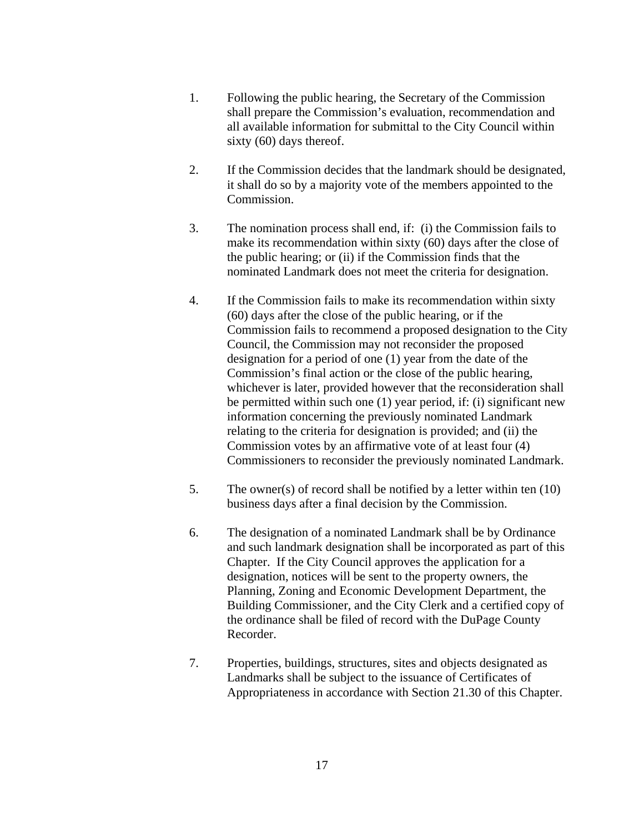- 1. Following the public hearing, the Secretary of the Commission shall prepare the Commission's evaluation, recommendation and all available information for submittal to the City Council within sixty (60) days thereof.
- 2. If the Commission decides that the landmark should be designated, it shall do so by a majority vote of the members appointed to the Commission.
- 3. The nomination process shall end, if: (i) the Commission fails to make its recommendation within sixty (60) days after the close of the public hearing; or (ii) if the Commission finds that the nominated Landmark does not meet the criteria for designation.
- 4. If the Commission fails to make its recommendation within sixty (60) days after the close of the public hearing, or if the Commission fails to recommend a proposed designation to the City Council, the Commission may not reconsider the proposed designation for a period of one (1) year from the date of the Commission's final action or the close of the public hearing, whichever is later, provided however that the reconsideration shall be permitted within such one (1) year period, if: (i) significant new information concerning the previously nominated Landmark relating to the criteria for designation is provided; and (ii) the Commission votes by an affirmative vote of at least four (4) Commissioners to reconsider the previously nominated Landmark.
- 5. The owner(s) of record shall be notified by a letter within ten (10) business days after a final decision by the Commission.
- 6. The designation of a nominated Landmark shall be by Ordinance and such landmark designation shall be incorporated as part of this Chapter. If the City Council approves the application for a designation, notices will be sent to the property owners, the Planning, Zoning and Economic Development Department, the Building Commissioner, and the City Clerk and a certified copy of the ordinance shall be filed of record with the DuPage County Recorder.
- 7. Properties, buildings, structures, sites and objects designated as Landmarks shall be subject to the issuance of Certificates of Appropriateness in accordance with Section 21.30 of this Chapter.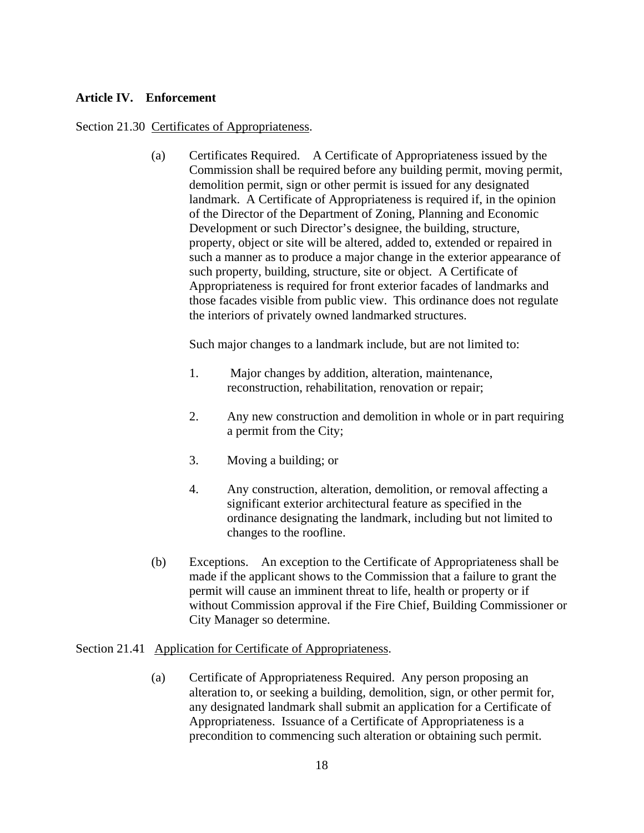## **Article IV. Enforcement**

## Section 21.30 Certificates of Appropriateness.

(a) Certificates Required. A Certificate of Appropriateness issued by the Commission shall be required before any building permit, moving permit, demolition permit, sign or other permit is issued for any designated landmark. A Certificate of Appropriateness is required if, in the opinion of the Director of the Department of Zoning, Planning and Economic Development or such Director's designee, the building, structure, property, object or site will be altered, added to, extended or repaired in such a manner as to produce a major change in the exterior appearance of such property, building, structure, site or object. A Certificate of Appropriateness is required for front exterior facades of landmarks and those facades visible from public view. This ordinance does not regulate the interiors of privately owned landmarked structures.

Such major changes to a landmark include, but are not limited to:

- 1. Major changes by addition, alteration, maintenance, reconstruction, rehabilitation, renovation or repair;
- 2. Any new construction and demolition in whole or in part requiring a permit from the City;
- 3. Moving a building; or
- 4. Any construction, alteration, demolition, or removal affecting a significant exterior architectural feature as specified in the ordinance designating the landmark, including but not limited to changes to the roofline.
- (b) Exceptions. An exception to the Certificate of Appropriateness shall be made if the applicant shows to the Commission that a failure to grant the permit will cause an imminent threat to life, health or property or if without Commission approval if the Fire Chief, Building Commissioner or City Manager so determine.

#### Section 21.41 Application for Certificate of Appropriateness.

(a) Certificate of Appropriateness Required. Any person proposing an alteration to, or seeking a building, demolition, sign, or other permit for, any designated landmark shall submit an application for a Certificate of Appropriateness. Issuance of a Certificate of Appropriateness is a precondition to commencing such alteration or obtaining such permit.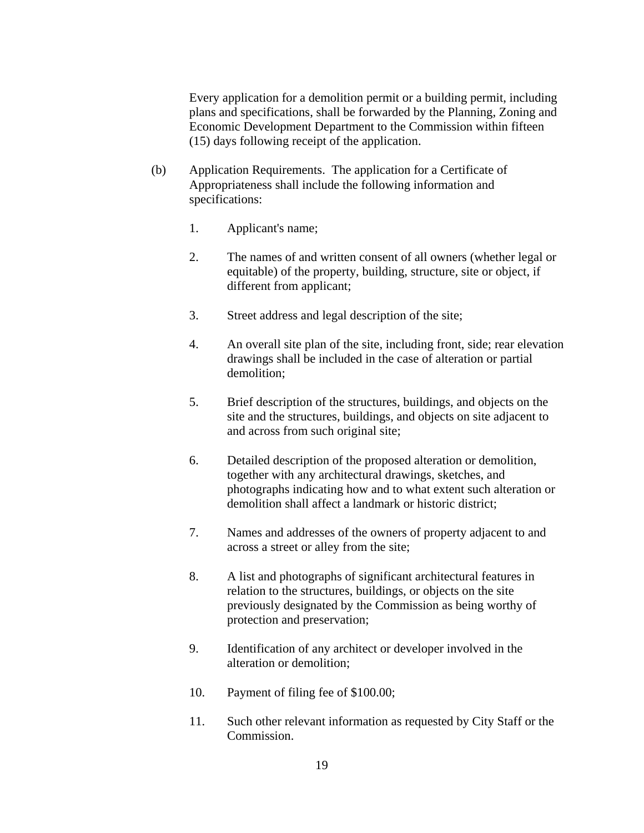Every application for a demolition permit or a building permit, including plans and specifications, shall be forwarded by the Planning, Zoning and Economic Development Department to the Commission within fifteen (15) days following receipt of the application.

- (b) Application Requirements. The application for a Certificate of Appropriateness shall include the following information and specifications:
	- 1. Applicant's name;
	- 2. The names of and written consent of all owners (whether legal or equitable) of the property, building, structure, site or object, if different from applicant;
	- 3. Street address and legal description of the site;
	- 4. An overall site plan of the site, including front, side; rear elevation drawings shall be included in the case of alteration or partial demolition;
	- 5. Brief description of the structures, buildings, and objects on the site and the structures, buildings, and objects on site adjacent to and across from such original site;
	- 6. Detailed description of the proposed alteration or demolition, together with any architectural drawings, sketches, and photographs indicating how and to what extent such alteration or demolition shall affect a landmark or historic district;
	- 7. Names and addresses of the owners of property adjacent to and across a street or alley from the site;
	- 8. A list and photographs of significant architectural features in relation to the structures, buildings, or objects on the site previously designated by the Commission as being worthy of protection and preservation;
	- 9. Identification of any architect or developer involved in the alteration or demolition;
	- 10. Payment of filing fee of \$100.00;
	- 11. Such other relevant information as requested by City Staff or the Commission.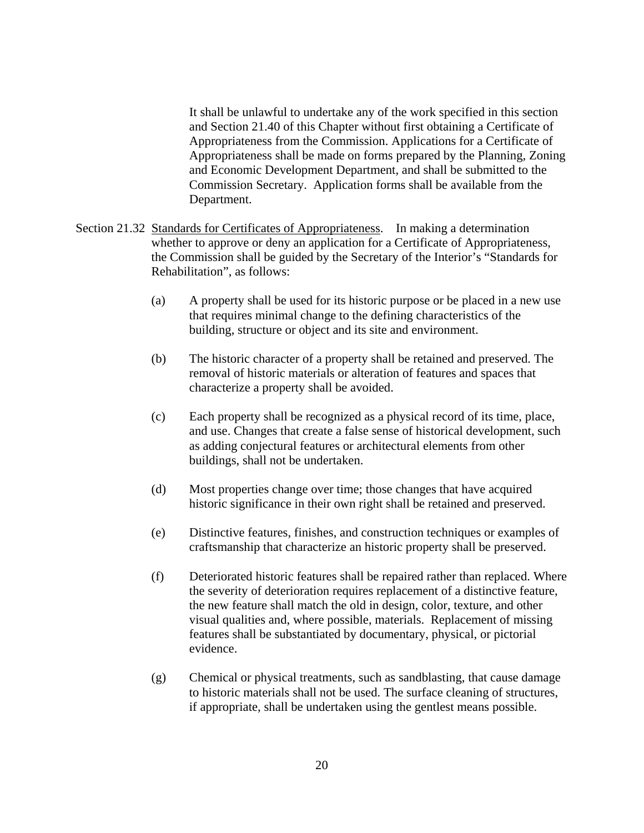It shall be unlawful to undertake any of the work specified in this section and Section 21.40 of this Chapter without first obtaining a Certificate of Appropriateness from the Commission. Applications for a Certificate of Appropriateness shall be made on forms prepared by the Planning, Zoning and Economic Development Department, and shall be submitted to the Commission Secretary. Application forms shall be available from the Department.

- Section 21.32 Standards for Certificates of Appropriateness. In making a determination whether to approve or deny an application for a Certificate of Appropriateness, the Commission shall be guided by the Secretary of the Interior's "Standards for Rehabilitation", as follows:
	- (a) A property shall be used for its historic purpose or be placed in a new use that requires minimal change to the defining characteristics of the building, structure or object and its site and environment.
	- (b) The historic character of a property shall be retained and preserved. The removal of historic materials or alteration of features and spaces that characterize a property shall be avoided.
	- (c) Each property shall be recognized as a physical record of its time, place, and use. Changes that create a false sense of historical development, such as adding conjectural features or architectural elements from other buildings, shall not be undertaken.
	- (d) Most properties change over time; those changes that have acquired historic significance in their own right shall be retained and preserved.
	- (e) Distinctive features, finishes, and construction techniques or examples of craftsmanship that characterize an historic property shall be preserved.
	- (f) Deteriorated historic features shall be repaired rather than replaced. Where the severity of deterioration requires replacement of a distinctive feature, the new feature shall match the old in design, color, texture, and other visual qualities and, where possible, materials. Replacement of missing features shall be substantiated by documentary, physical, or pictorial evidence.
	- (g) Chemical or physical treatments, such as sandblasting, that cause damage to historic materials shall not be used. The surface cleaning of structures, if appropriate, shall be undertaken using the gentlest means possible.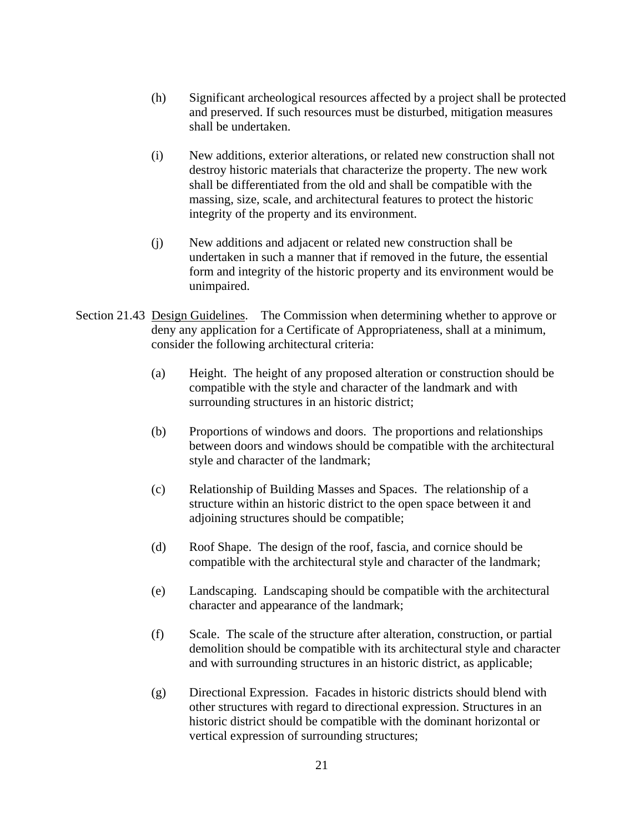- (h) Significant archeological resources affected by a project shall be protected and preserved. If such resources must be disturbed, mitigation measures shall be undertaken.
- (i) New additions, exterior alterations, or related new construction shall not destroy historic materials that characterize the property. The new work shall be differentiated from the old and shall be compatible with the massing, size, scale, and architectural features to protect the historic integrity of the property and its environment.
- (j) New additions and adjacent or related new construction shall be undertaken in such a manner that if removed in the future, the essential form and integrity of the historic property and its environment would be unimpaired.
- Section 21.43 Design Guidelines. The Commission when determining whether to approve or deny any application for a Certificate of Appropriateness, shall at a minimum, consider the following architectural criteria:
	- (a) Height. The height of any proposed alteration or construction should be compatible with the style and character of the landmark and with surrounding structures in an historic district;
	- (b) Proportions of windows and doors. The proportions and relationships between doors and windows should be compatible with the architectural style and character of the landmark;
	- (c) Relationship of Building Masses and Spaces. The relationship of a structure within an historic district to the open space between it and adjoining structures should be compatible;
	- (d) Roof Shape. The design of the roof, fascia, and cornice should be compatible with the architectural style and character of the landmark;
	- (e) Landscaping. Landscaping should be compatible with the architectural character and appearance of the landmark;
	- (f) Scale. The scale of the structure after alteration, construction, or partial demolition should be compatible with its architectural style and character and with surrounding structures in an historic district, as applicable;
	- (g) Directional Expression. Facades in historic districts should blend with other structures with regard to directional expression. Structures in an historic district should be compatible with the dominant horizontal or vertical expression of surrounding structures;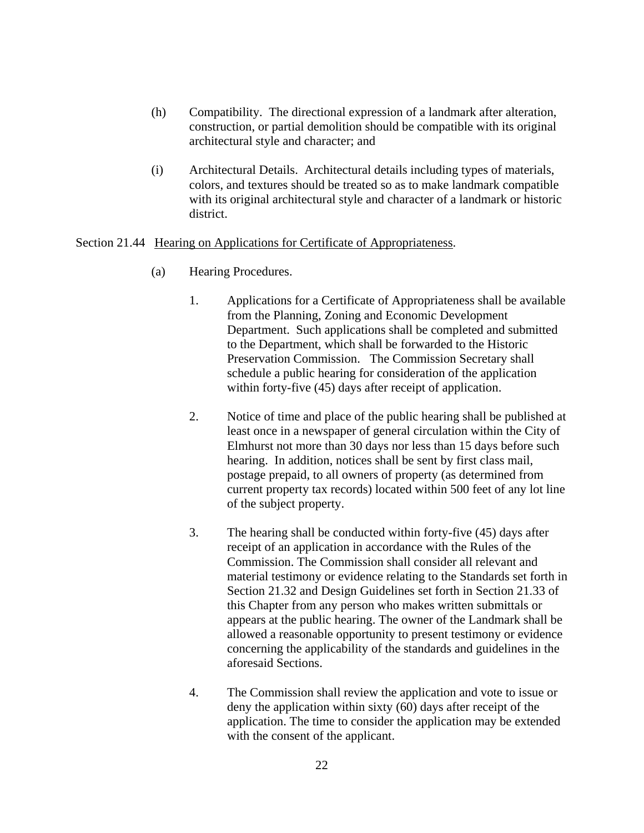- (h) Compatibility. The directional expression of a landmark after alteration, construction, or partial demolition should be compatible with its original architectural style and character; and
- (i) Architectural Details. Architectural details including types of materials, colors, and textures should be treated so as to make landmark compatible with its original architectural style and character of a landmark or historic district.

## Section 21.44 Hearing on Applications for Certificate of Appropriateness.

- (a) Hearing Procedures.
	- 1. Applications for a Certificate of Appropriateness shall be available from the Planning, Zoning and Economic Development Department. Such applications shall be completed and submitted to the Department, which shall be forwarded to the Historic Preservation Commission. The Commission Secretary shall schedule a public hearing for consideration of the application within forty-five (45) days after receipt of application.
	- 2. Notice of time and place of the public hearing shall be published at least once in a newspaper of general circulation within the City of Elmhurst not more than 30 days nor less than 15 days before such hearing. In addition, notices shall be sent by first class mail, postage prepaid, to all owners of property (as determined from current property tax records) located within 500 feet of any lot line of the subject property.
	- 3. The hearing shall be conducted within forty-five (45) days after receipt of an application in accordance with the Rules of the Commission. The Commission shall consider all relevant and material testimony or evidence relating to the Standards set forth in Section 21.32 and Design Guidelines set forth in Section 21.33 of this Chapter from any person who makes written submittals or appears at the public hearing. The owner of the Landmark shall be allowed a reasonable opportunity to present testimony or evidence concerning the applicability of the standards and guidelines in the aforesaid Sections.
	- 4. The Commission shall review the application and vote to issue or deny the application within sixty (60) days after receipt of the application. The time to consider the application may be extended with the consent of the applicant.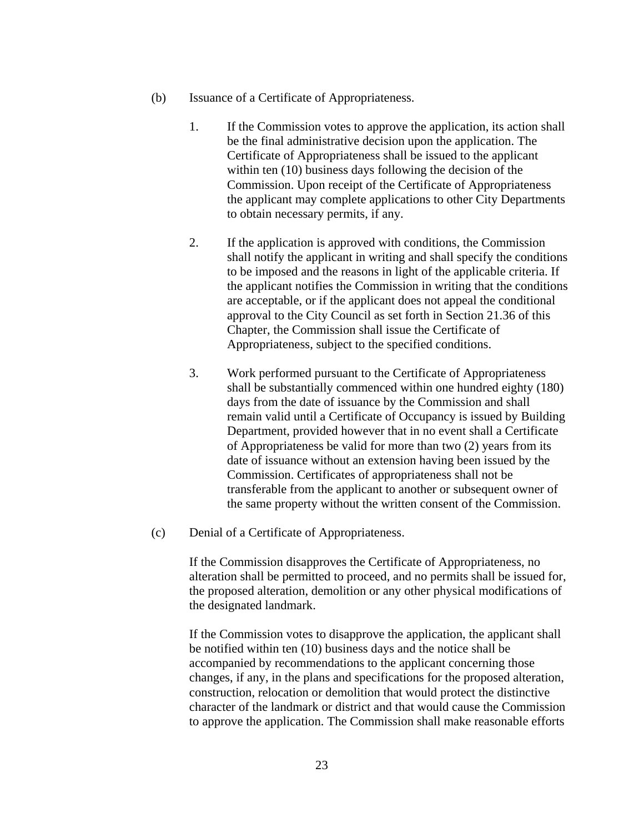- (b) Issuance of a Certificate of Appropriateness.
	- 1. If the Commission votes to approve the application, its action shall be the final administrative decision upon the application. The Certificate of Appropriateness shall be issued to the applicant within ten (10) business days following the decision of the Commission. Upon receipt of the Certificate of Appropriateness the applicant may complete applications to other City Departments to obtain necessary permits, if any.
	- 2. If the application is approved with conditions, the Commission shall notify the applicant in writing and shall specify the conditions to be imposed and the reasons in light of the applicable criteria. If the applicant notifies the Commission in writing that the conditions are acceptable, or if the applicant does not appeal the conditional approval to the City Council as set forth in Section 21.36 of this Chapter, the Commission shall issue the Certificate of Appropriateness, subject to the specified conditions.
	- 3. Work performed pursuant to the Certificate of Appropriateness shall be substantially commenced within one hundred eighty (180) days from the date of issuance by the Commission and shall remain valid until a Certificate of Occupancy is issued by Building Department, provided however that in no event shall a Certificate of Appropriateness be valid for more than two (2) years from its date of issuance without an extension having been issued by the Commission. Certificates of appropriateness shall not be transferable from the applicant to another or subsequent owner of the same property without the written consent of the Commission.
- (c) Denial of a Certificate of Appropriateness.

If the Commission disapproves the Certificate of Appropriateness, no alteration shall be permitted to proceed, and no permits shall be issued for, the proposed alteration, demolition or any other physical modifications of the designated landmark.

If the Commission votes to disapprove the application, the applicant shall be notified within ten (10) business days and the notice shall be accompanied by recommendations to the applicant concerning those changes, if any, in the plans and specifications for the proposed alteration, construction, relocation or demolition that would protect the distinctive character of the landmark or district and that would cause the Commission to approve the application. The Commission shall make reasonable efforts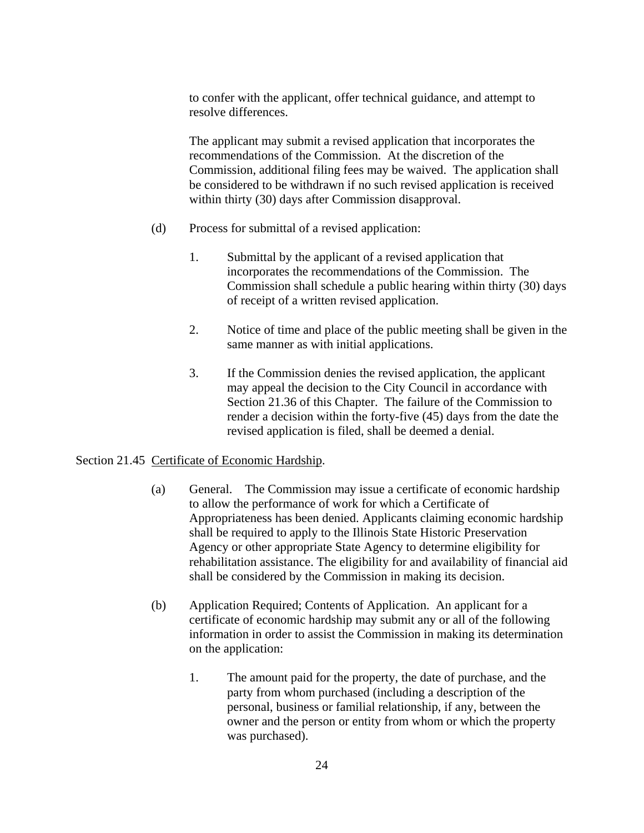to confer with the applicant, offer technical guidance, and attempt to resolve differences.

The applicant may submit a revised application that incorporates the recommendations of the Commission. At the discretion of the Commission, additional filing fees may be waived. The application shall be considered to be withdrawn if no such revised application is received within thirty (30) days after Commission disapproval.

- (d) Process for submittal of a revised application:
	- 1. Submittal by the applicant of a revised application that incorporates the recommendations of the Commission. The Commission shall schedule a public hearing within thirty (30) days of receipt of a written revised application.
	- 2. Notice of time and place of the public meeting shall be given in the same manner as with initial applications.
	- 3. If the Commission denies the revised application, the applicant may appeal the decision to the City Council in accordance with Section 21.36 of this Chapter. The failure of the Commission to render a decision within the forty-five (45) days from the date the revised application is filed, shall be deemed a denial.

#### Section 21.45 Certificate of Economic Hardship.

- (a) General. The Commission may issue a certificate of economic hardship to allow the performance of work for which a Certificate of Appropriateness has been denied. Applicants claiming economic hardship shall be required to apply to the Illinois State Historic Preservation Agency or other appropriate State Agency to determine eligibility for rehabilitation assistance. The eligibility for and availability of financial aid shall be considered by the Commission in making its decision.
- (b) Application Required; Contents of Application. An applicant for a certificate of economic hardship may submit any or all of the following information in order to assist the Commission in making its determination on the application:
	- 1. The amount paid for the property, the date of purchase, and the party from whom purchased (including a description of the personal, business or familial relationship, if any, between the owner and the person or entity from whom or which the property was purchased).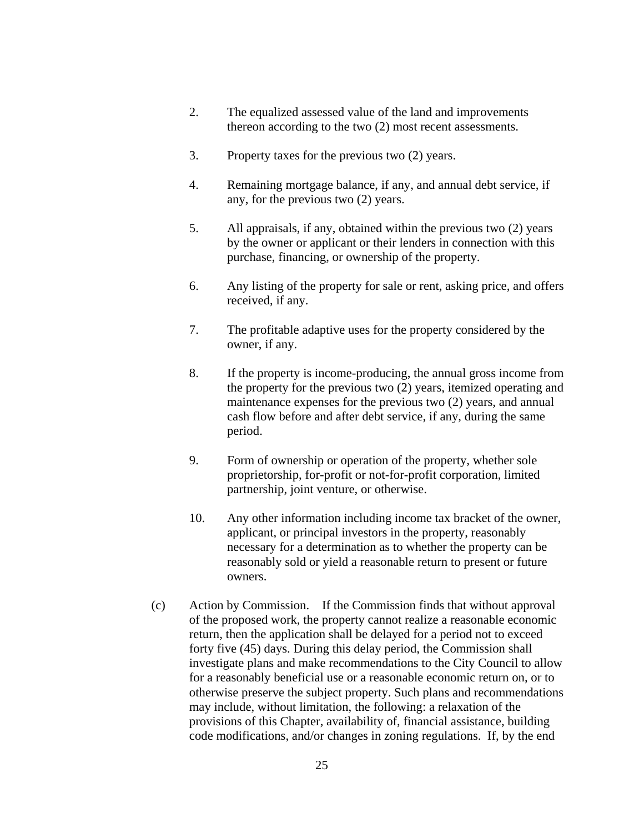- 2. The equalized assessed value of the land and improvements thereon according to the two (2) most recent assessments.
- 3. Property taxes for the previous two (2) years.
- 4. Remaining mortgage balance, if any, and annual debt service, if any, for the previous two (2) years.
- 5. All appraisals, if any, obtained within the previous two (2) years by the owner or applicant or their lenders in connection with this purchase, financing, or ownership of the property.
- 6. Any listing of the property for sale or rent, asking price, and offers received, if any.
- 7. The profitable adaptive uses for the property considered by the owner, if any.
- 8. If the property is income-producing, the annual gross income from the property for the previous two (2) years, itemized operating and maintenance expenses for the previous two (2) years, and annual cash flow before and after debt service, if any, during the same period.
- 9. Form of ownership or operation of the property, whether sole proprietorship, for-profit or not-for-profit corporation, limited partnership, joint venture, or otherwise.
- 10. Any other information including income tax bracket of the owner, applicant, or principal investors in the property, reasonably necessary for a determination as to whether the property can be reasonably sold or yield a reasonable return to present or future owners.
- (c) Action by Commission. If the Commission finds that without approval of the proposed work, the property cannot realize a reasonable economic return, then the application shall be delayed for a period not to exceed forty five (45) days. During this delay period, the Commission shall investigate plans and make recommendations to the City Council to allow for a reasonably beneficial use or a reasonable economic return on, or to otherwise preserve the subject property. Such plans and recommendations may include, without limitation, the following: a relaxation of the provisions of this Chapter, availability of, financial assistance, building code modifications, and/or changes in zoning regulations. If, by the end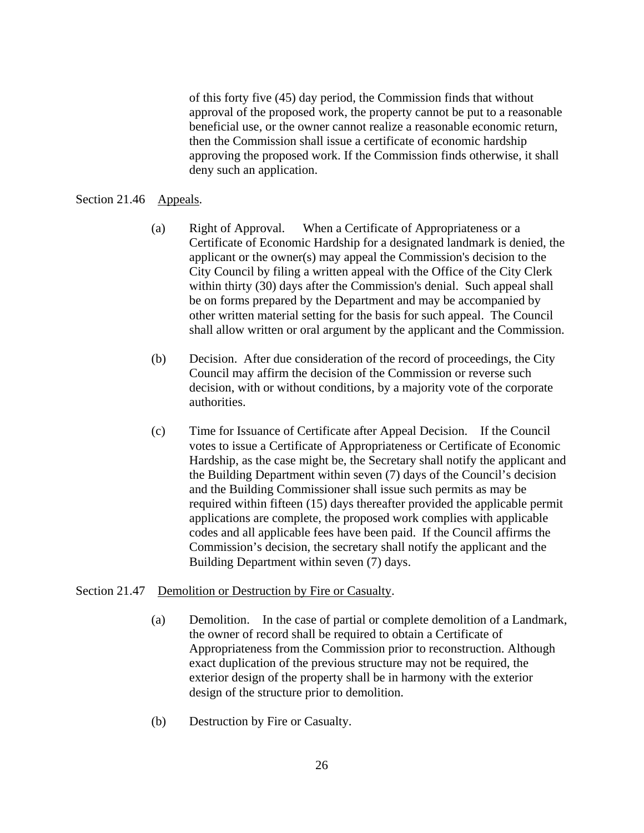of this forty five (45) day period, the Commission finds that without approval of the proposed work, the property cannot be put to a reasonable beneficial use, or the owner cannot realize a reasonable economic return, then the Commission shall issue a certificate of economic hardship approving the proposed work. If the Commission finds otherwise, it shall deny such an application.

#### Section 21.46 Appeals.

- (a) Right of Approval. When a Certificate of Appropriateness or a Certificate of Economic Hardship for a designated landmark is denied, the applicant or the owner(s) may appeal the Commission's decision to the City Council by filing a written appeal with the Office of the City Clerk within thirty (30) days after the Commission's denial. Such appeal shall be on forms prepared by the Department and may be accompanied by other written material setting for the basis for such appeal. The Council shall allow written or oral argument by the applicant and the Commission.
- (b) Decision. After due consideration of the record of proceedings, the City Council may affirm the decision of the Commission or reverse such decision, with or without conditions, by a majority vote of the corporate authorities.
- (c) Time for Issuance of Certificate after Appeal Decision. If the Council votes to issue a Certificate of Appropriateness or Certificate of Economic Hardship, as the case might be, the Secretary shall notify the applicant and the Building Department within seven (7) days of the Council's decision and the Building Commissioner shall issue such permits as may be required within fifteen (15) days thereafter provided the applicable permit applications are complete, the proposed work complies with applicable codes and all applicable fees have been paid. If the Council affirms the Commission's decision, the secretary shall notify the applicant and the Building Department within seven (7) days.

#### Section 21.47 Demolition or Destruction by Fire or Casualty.

- (a) Demolition. In the case of partial or complete demolition of a Landmark, the owner of record shall be required to obtain a Certificate of Appropriateness from the Commission prior to reconstruction. Although exact duplication of the previous structure may not be required, the exterior design of the property shall be in harmony with the exterior design of the structure prior to demolition.
- (b) Destruction by Fire or Casualty.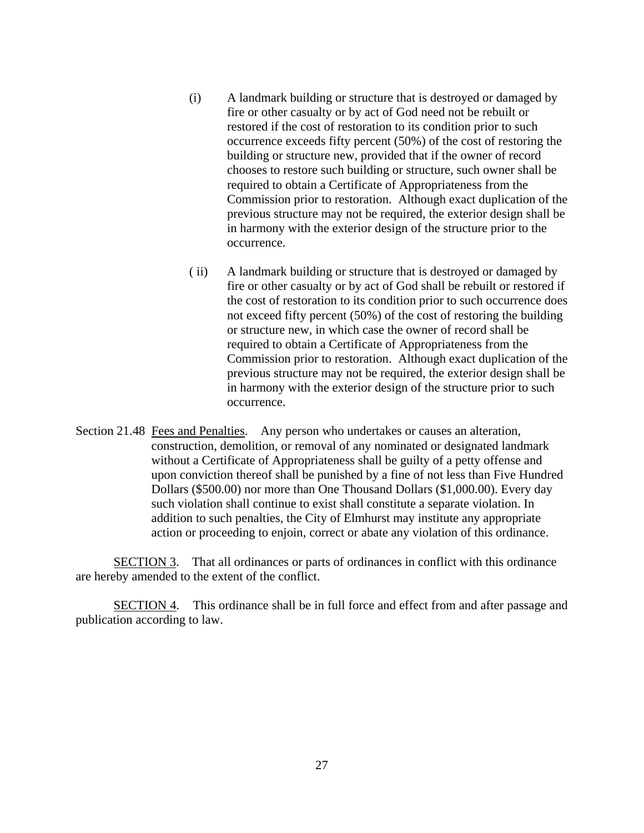- (i) A landmark building or structure that is destroyed or damaged by fire or other casualty or by act of God need not be rebuilt or restored if the cost of restoration to its condition prior to such occurrence exceeds fifty percent (50%) of the cost of restoring the building or structure new, provided that if the owner of record chooses to restore such building or structure, such owner shall be required to obtain a Certificate of Appropriateness from the Commission prior to restoration. Although exact duplication of the previous structure may not be required, the exterior design shall be in harmony with the exterior design of the structure prior to the occurrence.
- ( ii) A landmark building or structure that is destroyed or damaged by fire or other casualty or by act of God shall be rebuilt or restored if the cost of restoration to its condition prior to such occurrence does not exceed fifty percent (50%) of the cost of restoring the building or structure new, in which case the owner of record shall be required to obtain a Certificate of Appropriateness from the Commission prior to restoration. Although exact duplication of the previous structure may not be required, the exterior design shall be in harmony with the exterior design of the structure prior to such occurrence.
- Section 21.48 Fees and Penalties. Any person who undertakes or causes an alteration, construction, demolition, or removal of any nominated or designated landmark without a Certificate of Appropriateness shall be guilty of a petty offense and upon conviction thereof shall be punished by a fine of not less than Five Hundred Dollars (\$500.00) nor more than One Thousand Dollars (\$1,000.00). Every day such violation shall continue to exist shall constitute a separate violation. In addition to such penalties, the City of Elmhurst may institute any appropriate action or proceeding to enjoin, correct or abate any violation of this ordinance.

SECTION 3. That all ordinances or parts of ordinances in conflict with this ordinance are hereby amended to the extent of the conflict.

 SECTION 4. This ordinance shall be in full force and effect from and after passage and publication according to law.